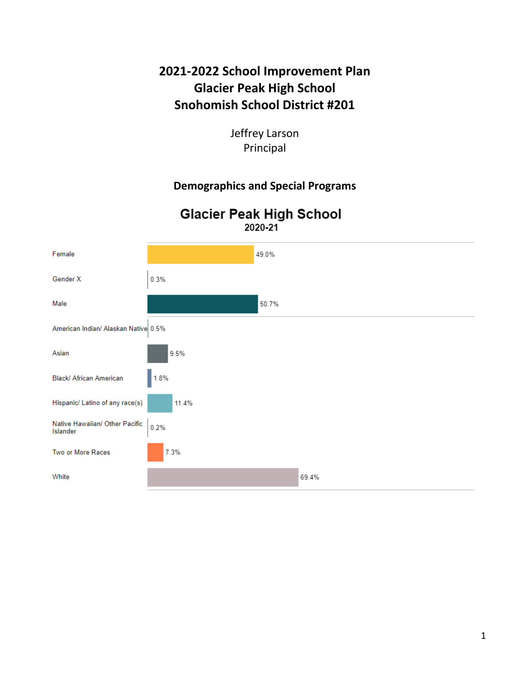# **2021-2022 School Improvement Plan Glacier Peak High School Snohomish School District #201**

Jeffrey Larson Principal

#### **Demographics and Special Programs**

# **Glacier Peak High School** 2020-21

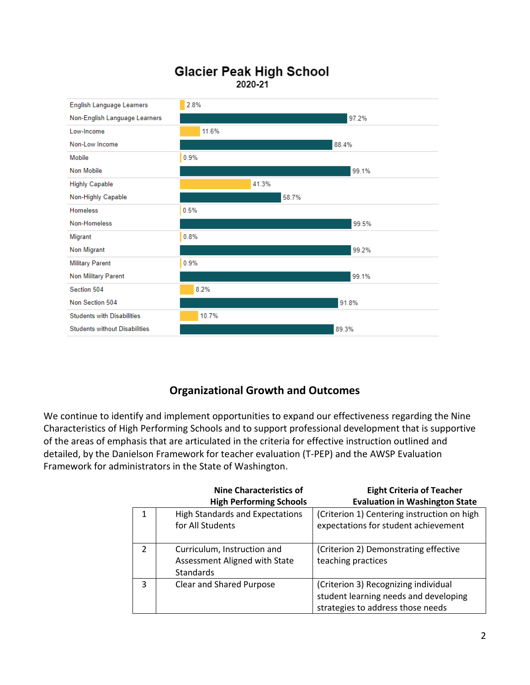# **Glacier Peak High School** 2020-21



# **Organizational Growth and Outcomes**

We continue to identify and implement opportunities to expand our effectiveness regarding the Nine Characteristics of High Performing Schools and to support professional development that is supportive of the areas of emphasis that are articulated in the criteria for effective instruction outlined and detailed, by the Danielson Framework for teacher evaluation (T-PEP) and the AWSP Evaluation Framework for administrators in the State of Washington.

|               | <b>Nine Characteristics of</b>         | <b>Eight Criteria of Teacher</b>            |
|---------------|----------------------------------------|---------------------------------------------|
|               | <b>High Performing Schools</b>         | <b>Evaluation in Washington State</b>       |
|               | <b>High Standards and Expectations</b> | (Criterion 1) Centering instruction on high |
|               | for All Students                       | expectations for student achievement        |
|               |                                        |                                             |
| $\mathcal{P}$ | Curriculum, Instruction and            | (Criterion 2) Demonstrating effective       |
|               | Assessment Aligned with State          | teaching practices                          |
|               | Standards                              |                                             |
| 3             | <b>Clear and Shared Purpose</b>        | (Criterion 3) Recognizing individual        |
|               |                                        | student learning needs and developing       |
|               |                                        | strategies to address those needs           |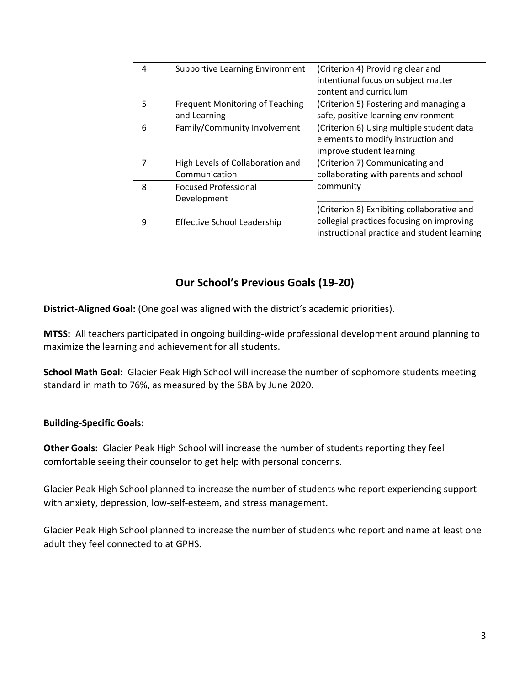| 4 | <b>Supportive Learning Environment</b>                 | (Criterion 4) Providing clear and<br>intentional focus on subject matter<br>content and curriculum          |
|---|--------------------------------------------------------|-------------------------------------------------------------------------------------------------------------|
| 5 | <b>Frequent Monitoring of Teaching</b><br>and Learning | (Criterion 5) Fostering and managing a<br>safe, positive learning environment                               |
| 6 | Family/Community Involvement                           | (Criterion 6) Using multiple student data<br>elements to modify instruction and<br>improve student learning |
| 7 | High Levels of Collaboration and<br>Communication      | (Criterion 7) Communicating and<br>collaborating with parents and school                                    |
| 8 | <b>Focused Professional</b><br>Development             | community<br>(Criterion 8) Exhibiting collaborative and                                                     |
| 9 | Effective School Leadership                            | collegial practices focusing on improving<br>instructional practice and student learning                    |

#### **Our School's Previous Goals (19-20)**

**District-Aligned Goal:** (One goal was aligned with the district's academic priorities).

**MTSS:** All teachers participated in ongoing building-wide professional development around planning to maximize the learning and achievement for all students.

**School Math Goal:** Glacier Peak High School will increase the number of sophomore students meeting standard in math to 76%, as measured by the SBA by June 2020.

#### **Building-Specific Goals:**

**Other Goals:** Glacier Peak High School will increase the number of students reporting they feel comfortable seeing their counselor to get help with personal concerns.

Glacier Peak High School planned to increase the number of students who report experiencing support with anxiety, depression, low-self-esteem, and stress management.

Glacier Peak High School planned to increase the number of students who report and name at least one adult they feel connected to at GPHS.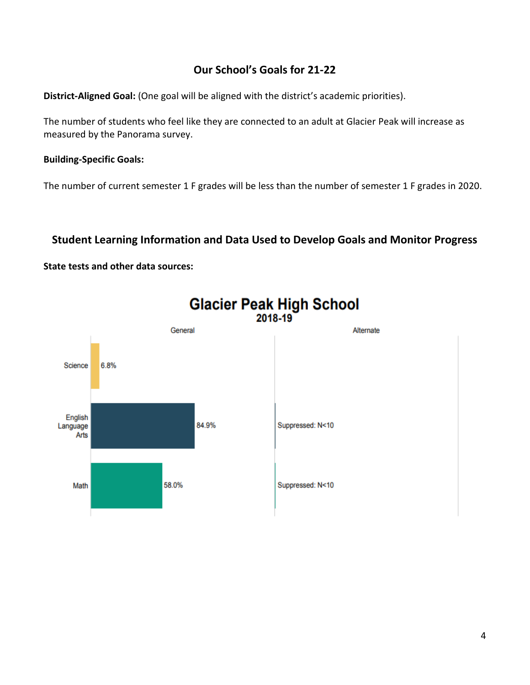## **Our School's Goals for 21-22**

**District-Aligned Goal:** (One goal will be aligned with the district's academic priorities).

The number of students who feel like they are connected to an adult at Glacier Peak will increase as measured by the Panorama survey.

#### **Building-Specific Goals:**

The number of current semester 1 F grades will be less than the number of semester 1 F grades in 2020.

#### **Student Learning Information and Data Used to Develop Goals and Monitor Progress**

#### **State tests and other data sources:**

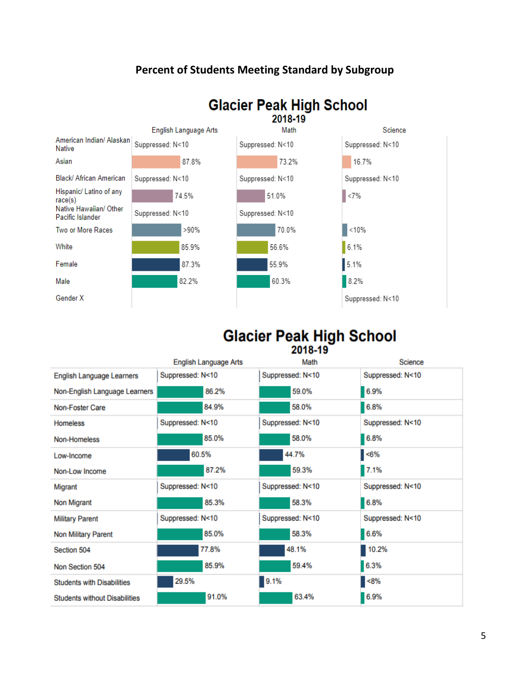## **Percent of Students Meeting Standard by Subgroup**



# Glacier Peak High School

|                                      | <b>English Language Arts</b> | Math             | Science          |
|--------------------------------------|------------------------------|------------------|------------------|
| <b>English Language Learners</b>     | Suppressed: N<10             | Suppressed: N<10 | Suppressed: N<10 |
| Non-English Language Learners        | 86.2%                        | 59.0%            | 6.9%             |
| Non-Foster Care                      | 84.9%                        | 58.0%            | 6.8%             |
| <b>Homeless</b>                      | Suppressed: N<10             | Suppressed: N<10 | Suppressed: N<10 |
| Non-Homeless                         | 85.0%                        | 58.0%            | 6.8%             |
| Low-Income                           | 60.5%                        | 44.7%            | $< 6\%$          |
| Non-Low Income                       | 87.2%                        | 59.3%            | 7.1%             |
| Migrant                              | Suppressed: N<10             | Suppressed: N<10 | Suppressed: N<10 |
| Non Migrant                          | 85.3%                        | 58.3%            | 6.8%             |
| <b>Military Parent</b>               | Suppressed: N<10             | Suppressed: N<10 | Suppressed: N<10 |
| <b>Non Military Parent</b>           | 85.0%                        | 58.3%            | 6.6%             |
| Section 504                          | 77.8%                        | 48.1%            | 10.2%            |
| Non Section 504                      | 85.9%                        | 59.4%            | 6.3%             |
| <b>Students with Disabilities</b>    | 29.5%                        | 9.1%             | $< 8\%$          |
| <b>Students without Disabilities</b> | 91.0%                        | 63.4%            | 6.9%             |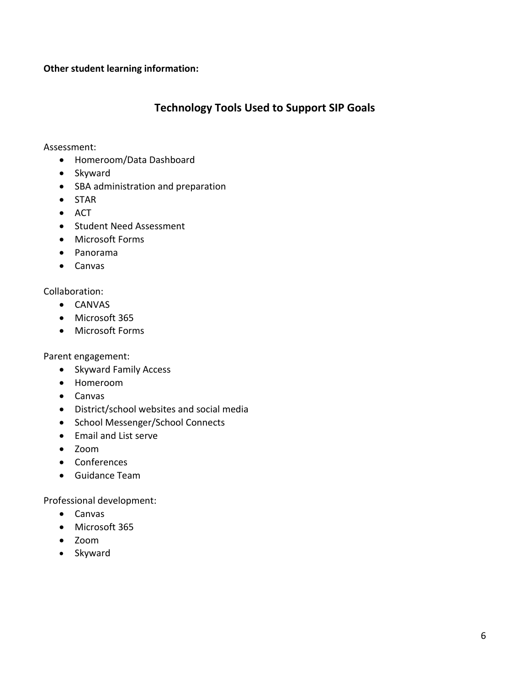#### **Other student learning information:**

#### **Technology Tools Used to Support SIP Goals**

Assessment:

- Homeroom/Data Dashboard
- Skyward
- SBA administration and preparation
- STAR
- ACT
- Student Need Assessment
- Microsoft Forms
- Panorama
- Canvas

#### Collaboration:

- CANVAS
- Microsoft 365
- Microsoft Forms

Parent engagement:

- Skyward Family Access
- Homeroom
- Canvas
- District/school websites and social media
- School Messenger/School Connects
- Email and List serve
- Zoom
- Conferences
- Guidance Team

Professional development:

- Canvas
- Microsoft 365
- Zoom
- Skyward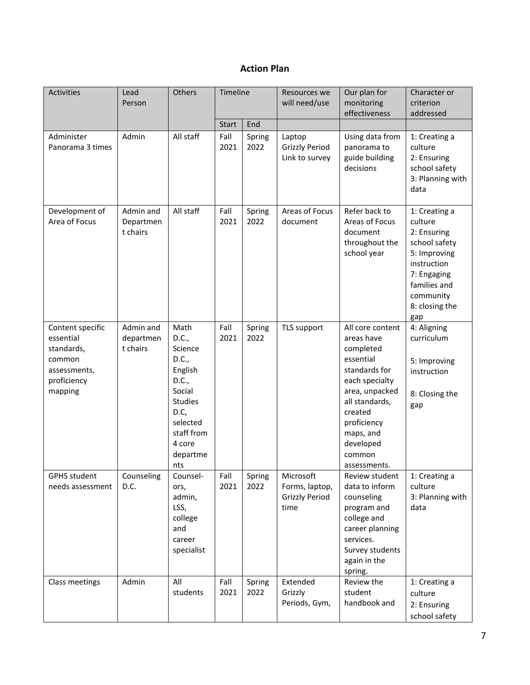#### **Action Plan**

| <b>Activities</b>                                                                               | Lead<br>Person                     | Others                                                                                                                                           | Timeline     |                | Resources we<br>will need/use                                | Our plan for<br>monitoring<br>effectiveness                                                                                                                                                                   | Character or<br>criterion<br>addressed                                                                                                                       |
|-------------------------------------------------------------------------------------------------|------------------------------------|--------------------------------------------------------------------------------------------------------------------------------------------------|--------------|----------------|--------------------------------------------------------------|---------------------------------------------------------------------------------------------------------------------------------------------------------------------------------------------------------------|--------------------------------------------------------------------------------------------------------------------------------------------------------------|
|                                                                                                 |                                    |                                                                                                                                                  | Start        | End            |                                                              |                                                                                                                                                                                                               |                                                                                                                                                              |
| Administer<br>Panorama 3 times                                                                  | Admin                              | All staff                                                                                                                                        | Fall<br>2021 | Spring<br>2022 | Laptop<br><b>Grizzly Period</b><br>Link to survey            | Using data from<br>panorama to<br>guide building<br>decisions                                                                                                                                                 | 1: Creating a<br>culture<br>2: Ensuring<br>school safety<br>3: Planning with<br>data                                                                         |
| Development of<br>Area of Focus                                                                 | Admin and<br>Departmen<br>t chairs | All staff                                                                                                                                        | Fall<br>2021 | Spring<br>2022 | Areas of Focus<br>document                                   | Refer back to<br>Areas of Focus<br>document<br>throughout the<br>school year                                                                                                                                  | 1: Creating a<br>culture<br>2: Ensuring<br>school safety<br>5: Improving<br>instruction<br>7: Engaging<br>families and<br>community<br>8: closing the<br>gap |
| Content specific<br>essential<br>standards,<br>common<br>assessments,<br>proficiency<br>mapping | Admin and<br>departmen<br>t chairs | Math<br>D.C.,<br>Science<br>D.C.,<br>English<br>D.C.,<br>Social<br><b>Studies</b><br>D.C,<br>selected<br>staff from<br>4 core<br>departme<br>nts | Fall<br>2021 | Spring<br>2022 | TLS support                                                  | All core content<br>areas have<br>completed<br>essential<br>standards for<br>each specialty<br>area, unpacked<br>all standards,<br>created<br>proficiency<br>maps, and<br>developed<br>common<br>assessments. | 4: Aligning<br>curriculum<br>5: Improving<br>instruction<br>8: Closing the<br>gap                                                                            |
| <b>GPHS student</b><br>needs assessment                                                         | Counseling<br>D.C.                 | Counsel-<br>ors,<br>admin,<br>LSS,<br>college<br>and<br>career<br>specialist                                                                     | Fall<br>2021 | Spring<br>2022 | Microsoft<br>Forms, laptop,<br><b>Grizzly Period</b><br>time | Review student<br>data to inform<br>counseling<br>program and<br>college and<br>career planning<br>services.<br>Survey students<br>again in the<br>spring.                                                    | 1: Creating a<br>culture<br>3: Planning with<br>data                                                                                                         |
| Class meetings                                                                                  | Admin                              | All<br>students                                                                                                                                  | Fall<br>2021 | Spring<br>2022 | Extended<br>Grizzly<br>Periods, Gym,                         | Review the<br>student<br>handbook and                                                                                                                                                                         | 1: Creating a<br>culture<br>2: Ensuring<br>school safety                                                                                                     |